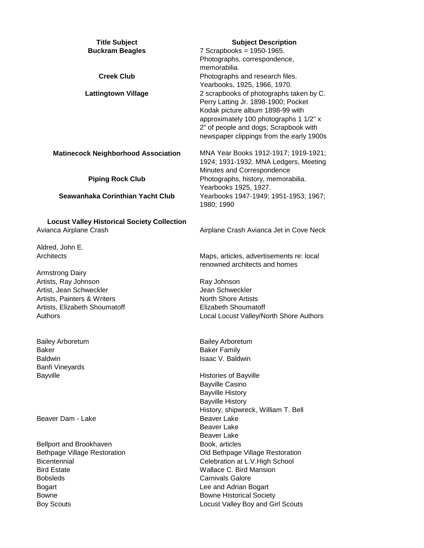| <b>Title Subject</b><br><b>Buckram Beagles</b>                               | <b>Subject Description</b><br>7 Scrapbooks = 1950-1965.<br>Photographs, correspondence,<br>memorabilia.                                                                                                                                           |
|------------------------------------------------------------------------------|---------------------------------------------------------------------------------------------------------------------------------------------------------------------------------------------------------------------------------------------------|
| <b>Creek Club</b>                                                            | Photographs and research files.<br>Yearbooks, 1925, 1966, 1970.                                                                                                                                                                                   |
| <b>Lattingtown Village</b>                                                   | 2 scrapbooks of photographs taken by C.<br>Perry Latting Jr. 1898-1900; Pocket<br>Kodak picture album 1898-99 with<br>approximately 100 photographs 1 1/2" x<br>2" of people and dogs; Scrapbook with<br>newspaper clippings from the early 1900s |
| <b>Matinecock Neighborhood Association</b>                                   | MNA Year Books 1912-1917; 1919-1921;<br>1924; 1931-1932. MNA Ledgers, Meeting<br>Minutes and Correspondence                                                                                                                                       |
| <b>Piping Rock Club</b>                                                      | Photographs, history, memorabilia.<br>Yearbooks 1925, 1927.                                                                                                                                                                                       |
| Seawanhaka Corinthian Yacht Club                                             | Yearbooks 1947-1949; 1951-1953; 1967;<br>1980; 1990                                                                                                                                                                                               |
| <b>Locust Valley Historical Society Collection</b><br>Avianca Airplane Crash | Airplane Crash Avianca Jet in Cove Neck                                                                                                                                                                                                           |
| Aldred, John E.                                                              |                                                                                                                                                                                                                                                   |
| Architects                                                                   | Maps, articles, advertisements re: local<br>renowned architects and homes                                                                                                                                                                         |
| <b>Armstrong Dairy</b>                                                       |                                                                                                                                                                                                                                                   |
| Artists, Ray Johnson<br>Artist, Jean Schweckler                              | Ray Johnson<br>Jean Schweckler                                                                                                                                                                                                                    |
| Artists, Painters & Writers                                                  | <b>North Shore Artists</b>                                                                                                                                                                                                                        |
| Artists, Elizabeth Shoumatoff                                                | <b>Elizabeth Shoumatoff</b>                                                                                                                                                                                                                       |
| Authors                                                                      | Local Locust Valley/North Shore Authors                                                                                                                                                                                                           |
| <b>Bailey Arboretum</b>                                                      | <b>Bailey Arboretum</b>                                                                                                                                                                                                                           |
| <b>Baker</b>                                                                 | <b>Baker Family</b>                                                                                                                                                                                                                               |
| <b>Baldwin</b><br><b>Banfi Vineyards</b>                                     | <b>Isaac V. Baldwin</b>                                                                                                                                                                                                                           |
| Bayville                                                                     | <b>Histories of Bayville</b>                                                                                                                                                                                                                      |
|                                                                              | <b>Bayville Casino</b>                                                                                                                                                                                                                            |
|                                                                              | <b>Bayville History</b>                                                                                                                                                                                                                           |
|                                                                              | <b>Bayville History</b>                                                                                                                                                                                                                           |
|                                                                              | History, shipwreck, William T. Bell                                                                                                                                                                                                               |
| Beaver Dam - Lake                                                            | <b>Beaver Lake</b><br>Beaver Lake                                                                                                                                                                                                                 |
|                                                                              | Beaver Lake                                                                                                                                                                                                                                       |
| Bellport and Brookhaven                                                      | Book, articles                                                                                                                                                                                                                                    |
| <b>Bethpage Village Restoration</b>                                          | Old Bethpage Village Restoration                                                                                                                                                                                                                  |
| Bicentennial                                                                 | Celebration at L.V. High School                                                                                                                                                                                                                   |
| <b>Bird Estate</b>                                                           | <b>Wallace C. Bird Mansion</b>                                                                                                                                                                                                                    |
| <b>Bobsleds</b><br><b>Bogart</b>                                             | <b>Carnivals Galore</b><br>Lee and Adrian Bogart                                                                                                                                                                                                  |
| <b>Bowne</b>                                                                 | <b>Bowne Historical Society</b>                                                                                                                                                                                                                   |
| <b>Boy Scouts</b>                                                            | Locust Valley Boy and Girl Scouts                                                                                                                                                                                                                 |
|                                                                              |                                                                                                                                                                                                                                                   |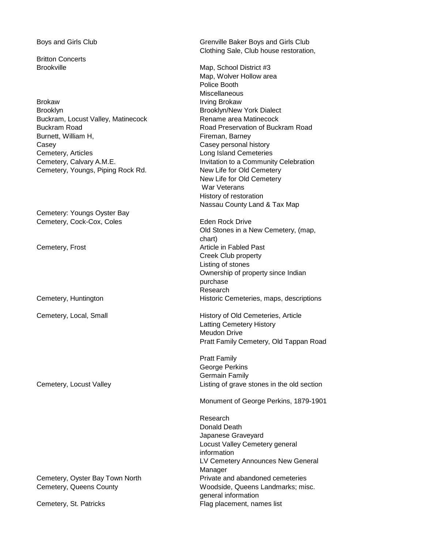Britton Concerts

Brokaw **Irving Brokaw** Brooklyn Brooklyn/New York Dialect Buckram, Locust Valley, Matinecock **Rename area Matinecock** Buckram Road Road Preservation of Buckram Road Burnett, William H, **Example 20 and Traveller** Fireman, Barney Casey Casey personal history Cemetery, Articles Long Island Cemeteries Cemetery, Youngs, Piping Rock Rd. New Life for Old Cemetery

Cemetery: Youngs Oyster Bay Cemetery, Cock-Cox, Coles Eden Rock Drive

Boys and Girls Club Grenville Baker Boys and Girls Club Clothing Sale, Club house restoration,

Brookville Map, School District #3 Map, Wolver Hollow area Police Booth Miscellaneous Cemetery, Calvary A.M.E. The Community Celebration to a Community Celebration New Life for Old Cemetery War Veterans History of restoration Nassau County Land & Tax Map

Old Stones in a New Cemetery, (map, chart) Cemetery, Frost **Article** in Fabled Past Creek Club property Listing of stones Ownership of property since Indian purchase Research Cemetery, Huntington **Historic Cemeteries, maps, descriptions** 

Cemetery, Local, Small **Exercise 20** History of Old Cemeteries, Article Latting Cemetery History Meudon Drive Pratt Family Cemetery, Old Tappan Road

Pratt Family George Perkins Germain Family Cemetery, Locust Valley **Listing of grave stones in the old section** 

Monument of George Perkins, 1879-1901

Research Donald Death Japanese Graveyard Locust Valley Cemetery general information LV Cemetery Announces New General Manager Cemetery, Oyster Bay Town North Private and abandoned cemeteries Cemetery, Queens County **Cometery**, Queens County **Woodside, Queens Landmarks**; misc. general information Cemetery, St. Patricks Flag placement, names list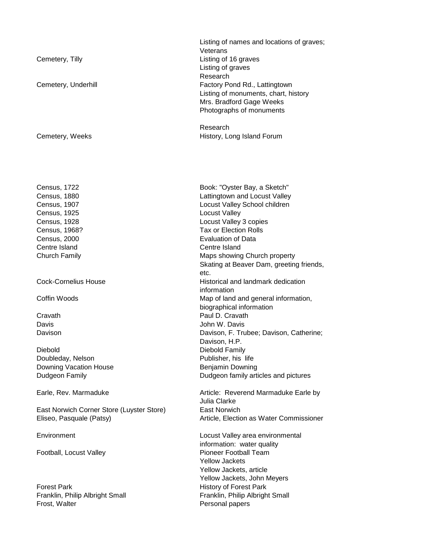| Cemetery, Tilly<br>Cemetery, Underhill                                                                                      | Listing of names and locations of graves;<br>Veterans<br>Listing of 16 graves<br>Listing of graves<br>Research<br>Factory Pond Rd., Lattingtown<br>Listing of monuments, chart, history<br>Mrs. Bradford Gage Weeks<br>Photographs of monuments |
|-----------------------------------------------------------------------------------------------------------------------------|-------------------------------------------------------------------------------------------------------------------------------------------------------------------------------------------------------------------------------------------------|
| Cemetery, Weeks                                                                                                             | Research<br>History, Long Island Forum                                                                                                                                                                                                          |
| Census, 1722<br>Census, 1880<br>Census, 1907<br>Census, 1925<br><b>Census, 1928</b><br>Census, 1968?<br><b>Census, 2000</b> | Book: "Oyster Bay, a Sketch"<br>Lattingtown and Locust Valley<br>Locust Valley School children<br><b>Locust Valley</b><br>Locust Valley 3 copies<br><b>Tax or Election Rolls</b><br><b>Evaluation of Data</b>                                   |
| Centre Island<br><b>Church Family</b>                                                                                       | Centre Island<br>Maps showing Church property<br>Skating at Beaver Dam, greeting friends,<br>etc.                                                                                                                                               |
| <b>Cock-Cornelius House</b><br>Coffin Woods                                                                                 | Historical and landmark dedication<br>information<br>Map of land and general information,                                                                                                                                                       |
| Cravath<br>Davis<br>Davison                                                                                                 | biographical information<br>Paul D. Cravath<br>John W. Davis<br>Davison, F. Trubee; Davison, Catherine;<br>Davison, H.P.                                                                                                                        |
| Diebold<br>Doubleday, Nelson<br>Downing Vacation House<br>Dudgeon Family                                                    | Diebold Family<br>Publisher, his life<br>Benjamin Downing<br>Dudgeon family articles and pictures                                                                                                                                               |
| Earle, Rev. Marmaduke                                                                                                       | Article: Reverend Marmaduke Earle by<br>Julia Clarke                                                                                                                                                                                            |
| East Norwich Corner Store (Luyster Store)<br>Eliseo, Pasquale (Patsy)                                                       | <b>East Norwich</b><br>Article, Election as Water Commissioner                                                                                                                                                                                  |
| Environment                                                                                                                 | Locust Valley area environmental<br>information: water quality                                                                                                                                                                                  |
| Football, Locust Valley                                                                                                     | Pioneer Football Team<br><b>Yellow Jackets</b><br>Yellow Jackets, article<br>Yellow Jackets, John Meyers                                                                                                                                        |
| <b>Forest Park</b><br>Franklin, Philip Albright Small<br>Frost, Walter                                                      | <b>History of Forest Park</b><br>Franklin, Philip Albright Small<br>Personal papers                                                                                                                                                             |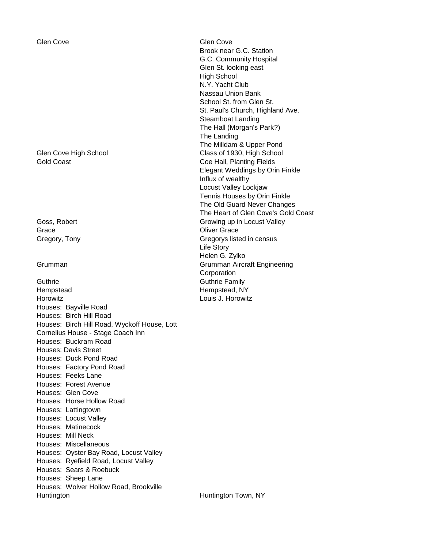Glen Cove Glen Cove

Grace **Grace Oliver Grace** 

Guthrie **Guthrie Guthrie Family** Hempstead Hempstead, NY Horowitz Louis J. Horowitz Houses: Bayville Road Houses: Birch Hill Road Houses: Birch Hill Road, Wyckoff House, Lott Cornelius House - Stage Coach Inn Houses: Buckram Road Houses: Davis Street Houses: Duck Pond Road Houses: Factory Pond Road Houses: Feeks Lane Houses: Forest Avenue Houses: Glen Cove Houses: Horse Hollow Road Houses: Lattingtown Houses: Locust Valley Houses: Matinecock Houses: Mill Neck Houses: Miscellaneous Houses: Oyster Bay Road, Locust Valley Houses: Ryefield Road, Locust Valley Houses: Sears & Roebuck Houses: Sheep Lane Houses: Wolver Hollow Road, Brookville Huntington **Huntington Town, NY** 

Brook near G.C. Station G.C. Community Hospital Glen St. looking east High School N.Y. Yacht Club Nassau Union Bank School St. from Glen St. St. Paul's Church, Highland Ave. Steamboat Landing The Hall (Morgan's Park?) The Landing The Milldam & Upper Pond Glen Cove High School Class of 1930, High School Gold Coast **Coe Hall**, Planting Fields Elegant Weddings by Orin Finkle Influx of wealthy Locust Valley Lockjaw Tennis Houses by Orin Finkle The Old Guard Never Changes The Heart of Glen Cove's Gold Coast Goss, Robert **Growing** up in Locust Valley Gregory, Tony Gregorys listed in census Life Story Helen G. Zylko Grumman Grumman Aircraft Engineering Corporation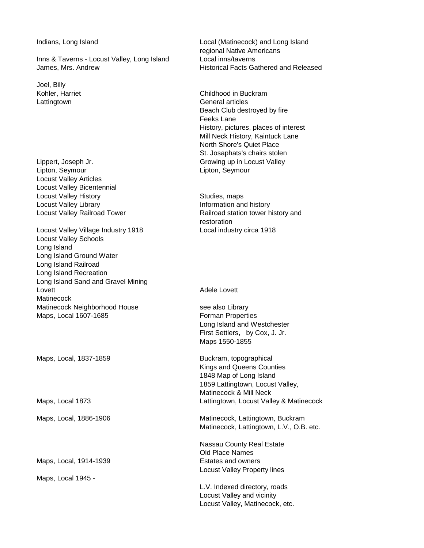Inns & Taverns - Locust Valley, Long Island Local inns/taverns James, Mrs. Andrew **Historical Facts Gathered and Released** 

Joel, Billy

Lippert, Joseph Jr. Christian March 2012 Crowing up in Locust Valley Lipton, Seymour Lipton, Seymour Locust Valley Articles Locust Valley Bicentennial Locust Valley History **Studies**, maps Locust Valley Library **Information** and history

Locust Valley Village Industry 1918 Local industry circa 1918 Locust Valley Schools Long Island Long Island Ground Water Long Island Railroad Long Island Recreation Long Island Sand and Gravel Mining Lovett **Adele Lovett Matinecock** Matinecock Neighborhood House see also Library Maps, Local 1607-1685 **Forman Properties** 

Maps, Local, 1837-1859 Buckram, topographical

Maps, Local, 1914-1939 **Estates and owners** 

Maps, Local 1945 -

Indians, Long Island **Local (Matinecock)** and Long Island regional Native Americans

Kohler, Harriet Childhood in Buckram Lattingtown **General** articles Beach Club destroyed by fire Feeks Lane History, pictures, places of interest Mill Neck History, Kaintuck Lane North Shore's Quiet Place St. Josaphats's chairs stolen

Locust Valley Railroad Tower **Railroad Station tower history and** restoration

Long Island and Westchester First Settlers, by Cox, J. Jr. Maps 1550-1855

Kings and Queens Counties 1848 Map of Long Island 1859 Lattingtown, Locust Valley, Matinecock & Mill Neck Maps, Local 1873 Lattingtown, Locust Valley & Matinecock

Maps, Local, 1886-1906 Matinecock, Lattingtown, Buckram Matinecock, Lattingtown, L.V., O.B. etc.

> Nassau County Real Estate Old Place Names Locust Valley Property lines

L.V. Indexed directory, roads Locust Valley and vicinity Locust Valley, Matinecock, etc.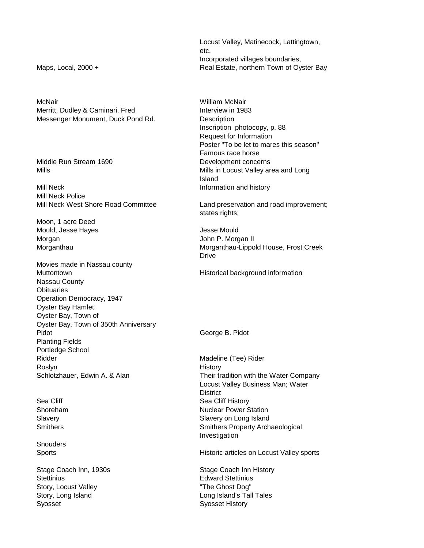Locust Valley, Matinecock, Lattingtown, etc. Incorporated villages boundaries, Maps, Local, 2000 + The Controlleries Channel Real Estate, northern Town of Oyster Bay

Inscription photocopy, p. 88 Request for Information Poster "To be let to mares this season" Famous race horse Mills Mills in Locust Valley area and Long Island

Mill Neck West Shore Road Committee Land preservation and road improvement; states rights;

Morganthau Morganthau-Lippold House, Frost Creek Drive

Their tradition with the Water Company Locust Valley Business Man; Water **District** Sea Cliff Sea Cliff History Shoreham **Nuclear Power Station** Slavery Slavery Slavery on Long Island Smithers **Smithers** Smithers Property Archaeological Investigation

Sports Historic articles on Locust Valley sports

Stage Coach Inn, 1930s Stage Coach Inn History

McNair William McNair Merritt, Dudley & Caminari, Fred Interview in 1983 Messenger Monument, Duck Pond Rd. **Description** 

Middle Run Stream 1690 **Development concerns** 

Mill Neck **Information** and history Mill Neck Police

Moon, 1 acre Deed Mould, Jesse Hayes **Mould** Jesse Mould Morgan John P. Morgan II

Movies made in Nassau county Muttontown **Muttontown** Historical background information Nassau County **Obituaries** Operation Democracy, 1947 Oyster Bay Hamlet Oyster Bay, Town of Oyster Bay, Town of 350th Anniversary Pidot **George B. Pidot** Planting Fields Portledge School Ridder Madeline (Tee) Rider Roslyn History Schlotzhauer, Edwin A. & Alan

**Snouders** 

Stettinius **Edward Stettinius** Story, Locust Valley **Example 20** The Ghost Dog" Story, Long Island **Long Island's Tall Tales** Syosset **Syosset** All **Syosset** History